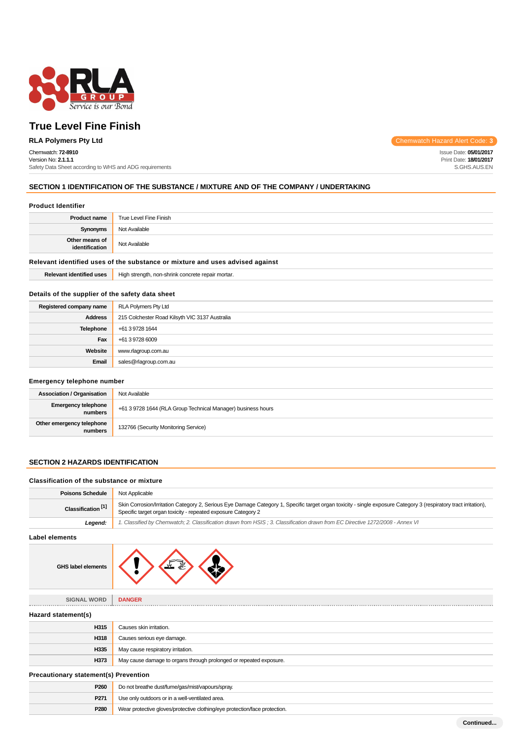

# Chemwatch: **72-8910**

Version No: **2.1.1.1** Safety Data Sheet according to WHS and ADG requirements

**RLA Polymers Pty Ltd** Chemwatch Hazard Alert Code: 3

Issue Date: **05/01/2017** Print Date: **18/01/2017** S.GHS.AUS.EN

# **SECTION 1 IDENTIFICATION OF THE SUBSTANCE / MIXTURE AND OF THE COMPANY / UNDERTAKING**

#### **Product Identifier**

| <b>Product name</b>              | True Level Fine Finish |
|----------------------------------|------------------------|
| <b>Synonyms</b>                  | Not Available          |
| Other means of<br>identification | Not Available          |

# **Relevant identified uses of the substance or mixture and uses advised against**

**Relevant identified uses** High strength, non-shrink concrete repair mortar.

# **Details of the supplier of the safety data sheet**

| Registered company name | RLA Polymers Pty Ltd                           |
|-------------------------|------------------------------------------------|
| <b>Address</b>          | 215 Colchester Road Kilsyth VIC 3137 Australia |
| Telephone               | +61 3 9728 1644                                |
| Fax                     | +61 3 9728 6009                                |
| Website                 | www.rlagroup.com.au                            |
| Email                   | sales@rlagroup.com.au                          |

#### **Emergency telephone number**

| <b>Association / Organisation</b>    | Not Available                                                |
|--------------------------------------|--------------------------------------------------------------|
| Emergency telephone<br>numbers       | +61 3 9728 1644 (RLA Group Technical Manager) business hours |
| Other emergency telephone<br>numbers | 132766 (Security Monitoring Service)                         |

# **SECTION 2 HAZARDS IDENTIFICATION**

#### **Classification of the substance or mixture**

| <b>Poisons Schedule</b>       | Not Applicable                                                                                                                                                                                                                    |
|-------------------------------|-----------------------------------------------------------------------------------------------------------------------------------------------------------------------------------------------------------------------------------|
| Classification <sup>[1]</sup> | Skin Corrosion/Irritation Category 2, Serious Eye Damage Category 1, Specific target organ toxicity - single exposure Category 3 (respiratory tract irritation),<br>Specific target organ toxicity - repeated exposure Category 2 |
| Leaend:                       | 1. Classified by Chemwatch; 2. Classification drawn from HSIS; 3. Classification drawn from EC Directive 1272/2008 - Annex VI                                                                                                     |

#### **Label elements**

| <b>GHS label elements</b> |  |  |  |
|---------------------------|--|--|--|
|---------------------------|--|--|--|

|                     | - 467 €                                                            |
|---------------------|--------------------------------------------------------------------|
| <b>SIGNAL WORD</b>  | <b>DANGER</b>                                                      |
| Hazard statement(s) |                                                                    |
| H315                | Causes skin irritation.                                            |
| H318                | Causes serious eye damage.                                         |
| H335                | May cause respiratory irritation.                                  |
| H373                | May cause damage to organs through prolonged or repeated exposure. |

#### **Precautionary statement(s) Prevention**

| Ficcautionally Statement(S) Ficvention |                                                                            |  |
|----------------------------------------|----------------------------------------------------------------------------|--|
| P <sub>260</sub>                       | Do not breathe dust/fume/gas/mist/vapours/spray.                           |  |
| P <sub>271</sub>                       | Use only outdoors or in a well-ventilated area.                            |  |
| P <sub>280</sub>                       | Wear protective gloves/protective clothing/eye protection/face protection. |  |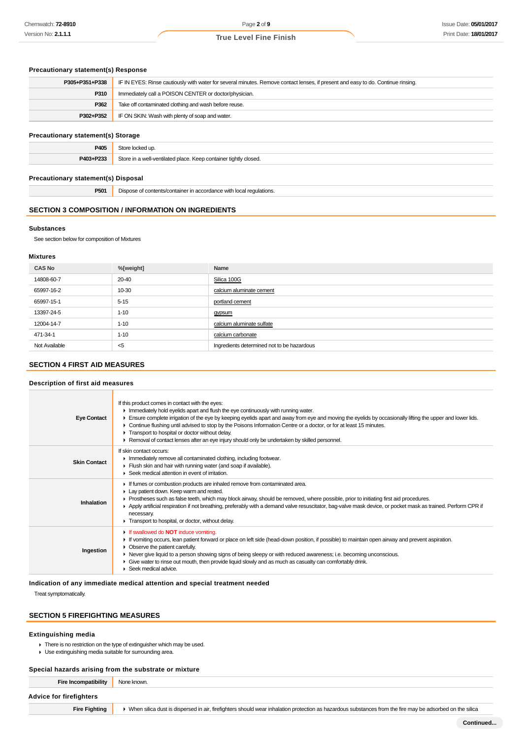# **Precautionary statement(s) Response**

| P305+P351+P338 | IF IN EYES: Rinse cautiously with water for several minutes. Remove contact lenses, if present and easy to do. Continue rinsing. |
|----------------|----------------------------------------------------------------------------------------------------------------------------------|
| P310           | Immediately call a POISON CENTER or doctor/physician.                                                                            |
| P362           | Take off contaminated clothing and wash before reuse.                                                                            |
| P302+P352      | IF ON SKIN: Wash with plenty of soap and water.                                                                                  |
|                |                                                                                                                                  |

# **Precautionary statement(s) Storage**

| aanonary statement(s) otorage |                                                                  |
|-------------------------------|------------------------------------------------------------------|
| P405                          | Store locked up.                                                 |
| P403+P233                     | Store in a well-ventilated place. Keep container tightly closed. |
|                               |                                                                  |

#### **Precautionary statement(s) Disposal**

**P501** Dispose of contents/container in accordance with local regulations.

#### **SECTION 3 COMPOSITION / INFORMATION ON INGREDIENTS**

#### **Substances**

See section below for composition of Mixtures

#### **Mixtures**

| <b>CAS No</b> | %[weight] | Name                                       |
|---------------|-----------|--------------------------------------------|
| 14808-60-7    | 20-40     | Silica 100G                                |
| 65997-16-2    | 10-30     | calcium aluminate cement                   |
| 65997-15-1    | $5 - 15$  | portland cement                            |
| 13397-24-5    | $1 - 10$  | gypsum                                     |
| 12004-14-7    | $1 - 10$  | calcium aluminate sulfate                  |
| 471-34-1      | $1 - 10$  | calcium carbonate                          |
| Not Available | $<$ 5     | Ingredients determined not to be hazardous |

# **SECTION 4 FIRST AID MEASURES**

#### **Description of first aid measures**

| <b>Eye Contact</b>  | If this product comes in contact with the eyes:<br>In mediately hold eyelids apart and flush the eye continuously with running water.<br>Ensure complete irrigation of the eye by keeping eyelids apart and away from eye and moving the eyelids by occasionally lifting the upper and lower lids.<br>Continue flushing until advised to stop by the Poisons Information Centre or a doctor, or for at least 15 minutes.<br>Transport to hospital or doctor without delay.<br>► Removal of contact lenses after an eye injury should only be undertaken by skilled personnel. |
|---------------------|-------------------------------------------------------------------------------------------------------------------------------------------------------------------------------------------------------------------------------------------------------------------------------------------------------------------------------------------------------------------------------------------------------------------------------------------------------------------------------------------------------------------------------------------------------------------------------|
| <b>Skin Contact</b> | If skin contact occurs:<br>Inmediately remove all contaminated clothing, including footwear.<br>Flush skin and hair with running water (and soap if available).<br>▶ Seek medical attention in event of irritation.                                                                                                                                                                                                                                                                                                                                                           |
| Inhalation          | If fumes or combustion products are inhaled remove from contaminated area.<br>Lay patient down. Keep warm and rested.<br>▶ Prostheses such as false teeth, which may block airway, should be removed, where possible, prior to initiating first aid procedures.<br>Apply artificial respiration if not breathing, preferably with a demand valve resuscitator, bag-valve mask device, or pocket mask as trained. Perform CPR if<br>necessary.<br>Transport to hospital, or doctor, without delay.                                                                             |
| Ingestion           | If swallowed do <b>NOT</b> induce vomiting.<br>If vomiting occurs, lean patient forward or place on left side (head-down position, if possible) to maintain open airway and prevent aspiration.<br>Observe the patient carefully.<br>▶ Never give liquid to a person showing signs of being sleepy or with reduced awareness; i.e. becoming unconscious.<br>Give water to rinse out mouth, then provide liquid slowly and as much as casualty can comfortably drink.<br>Seek medical advice.                                                                                  |

#### **Indication of any immediate medical attention and special treatment needed**

Treat symptomatically.

# **SECTION 5 FIREFIGHTING MEASURES**

#### **Extinguishing media**

There is no restriction on the type of extinguisher which may be used.

Use extinguishing media suitable for surrounding area.

### **Special hazards arising from the substrate or mixture**

| Fire Incompatibility           | None known.                                                                                                                                                |
|--------------------------------|------------------------------------------------------------------------------------------------------------------------------------------------------------|
| <b>Advice for firefighters</b> |                                                                                                                                                            |
| <b>Fire Fighting</b>           | • When silica dust is dispersed in air, firefighters should wear inhalation protection as hazardous substances from the fire may be adsorbed on the silica |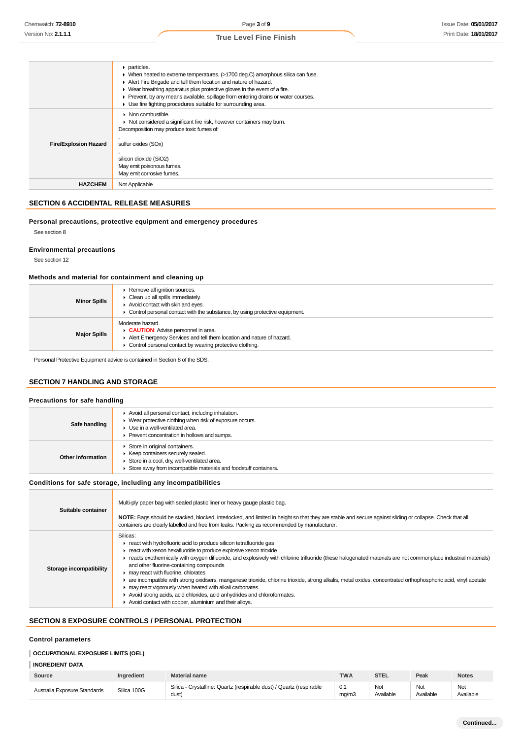|                              | $\triangleright$ particles.<br>► When heated to extreme temperatures, (>1700 deg.C) amorphous silica can fuse.<br>Alert Fire Brigade and tell them location and nature of hazard.<br>$\blacktriangleright$ Wear breathing apparatus plus protective gloves in the event of a fire.<br>▶ Prevent, by any means available, spillage from entering drains or water courses.<br>Use fire fighting procedures suitable for surrounding area. |
|------------------------------|-----------------------------------------------------------------------------------------------------------------------------------------------------------------------------------------------------------------------------------------------------------------------------------------------------------------------------------------------------------------------------------------------------------------------------------------|
| <b>Fire/Explosion Hazard</b> | $\triangleright$ Non combustible.<br>• Not considered a significant fire risk, however containers may burn.<br>Decomposition may produce toxic fumes of:<br>sulfur oxides (SOx)<br>silicon dioxide (SiO2)<br>May emit poisonous fumes.                                                                                                                                                                                                  |
| <b>HAZCHEM</b>               | May emit corrosive fumes.<br>Not Applicable                                                                                                                                                                                                                                                                                                                                                                                             |

# **SECTION 6 ACCIDENTAL RELEASE MEASURES**

#### **Personal precautions, protective equipment and emergency procedures**

See section 8

#### **Environmental precautions**

See section 12

#### **Methods and material for containment and cleaning up**

| <b>Minor Spills</b> | Remove all ignition sources.<br>$\triangleright$ Clean up all spills immediately.<br>Avoid contact with skin and eyes.<br>• Control personal contact with the substance, by using protective equipment. |
|---------------------|---------------------------------------------------------------------------------------------------------------------------------------------------------------------------------------------------------|
| <b>Major Spills</b> | Moderate hazard.<br>CAUTION: Advise personnel in area.<br>Alert Emergency Services and tell them location and nature of hazard.<br>• Control personal contact by wearing protective clothing.           |

Personal Protective Equipment advice is contained in Section 8 of the SDS.

# **SECTION 7 HANDLING AND STORAGE**

#### **Precautions for safe handling Safe handling** Avoid all personal contact, including inhalation. Wear protective clothing when risk of exposure occurs. Use in a well-ventilated area. Prevent concentration in hollows and sumps. **Other information F** Store in original containers.  $\blacktriangleright$  Keep containers securely sealed. Store in a cool, dry, well-ventilated area. Store away from incompatible materials and foodstuff containers.

#### **Conditions for safe storage, including any incompatibilities**

| Suitable container      | Multi-ply paper bag with sealed plastic liner or heavy gauge plastic bag.<br>NOTE: Bags should be stacked, blocked, interlocked, and limited in height so that they are stable and secure against sliding or collapse. Check that all<br>containers are clearly labelled and free from leaks. Packing as recommended by manufacturer.                                                                                                                                                                                                                                                                                                                                                                                                                                   |
|-------------------------|-------------------------------------------------------------------------------------------------------------------------------------------------------------------------------------------------------------------------------------------------------------------------------------------------------------------------------------------------------------------------------------------------------------------------------------------------------------------------------------------------------------------------------------------------------------------------------------------------------------------------------------------------------------------------------------------------------------------------------------------------------------------------|
| Storage incompatibility | Silicas:<br>react with hydrofluoric acid to produce silicon tetrafluoride gas<br>react with xenon hexafluoride to produce explosive xenon trioxide<br>reacts exothermically with oxygen difluoride, and explosively with chlorine trifluoride (these halogenated materials are not commonplace industrial materials)<br>and other fluorine-containing compounds<br>may react with fluorine, chlorates<br>are incompatible with strong oxidisers, manganese trioxide, chlorine trioxide, strong alkalis, metal oxides, concentrated orthophosphoric acid, vinyl acetate<br>may react vigorously when heated with alkali carbonates.<br>Avoid strong acids, acid chlorides, acid anhydrides and chloroformates.<br>Avoid contact with copper, aluminium and their alloys. |

# **SECTION 8 EXPOSURE CONTROLS / PERSONAL PROTECTION**

#### **Control parameters**

# **OCCUPATIONAL EXPOSURE LIMITS (OEL)**

# **INGREDIENT DATA**

| Source                       | <b>Ingredient</b> | <b>Material name</b>                                                         | <b>TWA</b>   | <b>STEL</b>      | Peak             | <b>Notes</b>     |
|------------------------------|-------------------|------------------------------------------------------------------------------|--------------|------------------|------------------|------------------|
| Australia Exposure Standards | Silica 100G       | Silica - Crystalline: Quartz (respirable dust) / Quartz (respirable<br>dust) | 0.1<br>ma/m3 | Not<br>Available | Not<br>Available | Not<br>Available |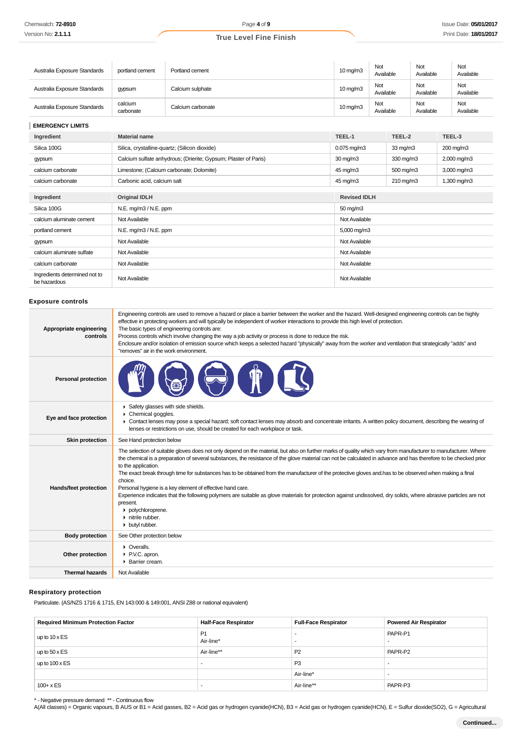| Australia Exposure Standards | portland cement      | Portland cement   | $10 \,\mathrm{mg/m}$ | Not<br>Available | Not<br>Available | Not<br>Available |
|------------------------------|----------------------|-------------------|----------------------|------------------|------------------|------------------|
| Australia Exposure Standards | gypsum               | Calcium sulphate  | $10 \,\mathrm{mq/m}$ | Not<br>Available | Not<br>Available | Not<br>Available |
| Australia Exposure Standards | calcium<br>carbonate | Calcium carbonate | $10 \,\mathrm{mq/m}$ | Not<br>Available | Not<br>Available | Not<br>Available |

**EMERGENCY LIMITS**

| Ingredient                                    | <b>Material name</b>                                            | TEEL-1                            | TEEL-2                         | TEEL-3      |  |
|-----------------------------------------------|-----------------------------------------------------------------|-----------------------------------|--------------------------------|-------------|--|
| Silica 100G                                   | Silica, crystalline-quartz; (Silicon dioxide)                   | $0.075 \,\mathrm{mg/m3}$          | $33 \text{ mg/m}$<br>200 mg/m3 |             |  |
| gypsum                                        | Calcium sulfate anhydrous; (Drierite; Gypsum; Plaster of Paris) | $30 \,\mathrm{mg/m}$              | 330 mg/m3                      | 2,000 mg/m3 |  |
| calcium carbonate                             | Limestone; (Calcium carbonate; Dolomite)                        | 45 mg/m3                          | 500 mg/m3                      | 3,000 mg/m3 |  |
| calcium carbonate                             | Carbonic acid, calcium salt                                     | 45 mg/m3<br>$210 \,\mathrm{mq/m}$ |                                | 1,300 mg/m3 |  |
|                                               |                                                                 |                                   |                                |             |  |
| Ingredient                                    | <b>Original IDLH</b>                                            | <b>Revised IDLH</b>               |                                |             |  |
| Silica 100G                                   | N.E. mg/m3 / N.E. ppm                                           | $50 \,\mathrm{mg/m}$              |                                |             |  |
| calcium aluminate cement                      | Not Available                                                   | Not Available                     |                                |             |  |
| portland cement                               | N.E. mg/m3 / N.E. ppm                                           | 5,000 mg/m3                       |                                |             |  |
| gypsum                                        | Not Available                                                   | Not Available                     |                                |             |  |
| calcium aluminate sulfate                     | Not Available                                                   | Not Available                     |                                |             |  |
| calcium carbonate                             | Not Available                                                   | Not Available                     |                                |             |  |
| Ingredients determined not to<br>be hazardous | Not Available                                                   | Not Available                     |                                |             |  |

# **Exposure controls**

| Appropriate engineering<br>controls | Engineering controls are used to remove a hazard or place a barrier between the worker and the hazard. Well-designed engineering controls can be highly<br>effective in protecting workers and will typically be independent of worker interactions to provide this high level of protection.<br>The basic types of engineering controls are:<br>Process controls which involve changing the way a job activity or process is done to reduce the risk.<br>Enclosure and/or isolation of emission source which keeps a selected hazard "physically" away from the worker and ventilation that strategically "adds" and<br>"removes" air in the work environment.                                                                                                                                                                                            |
|-------------------------------------|------------------------------------------------------------------------------------------------------------------------------------------------------------------------------------------------------------------------------------------------------------------------------------------------------------------------------------------------------------------------------------------------------------------------------------------------------------------------------------------------------------------------------------------------------------------------------------------------------------------------------------------------------------------------------------------------------------------------------------------------------------------------------------------------------------------------------------------------------------|
| <b>Personal protection</b>          |                                                                                                                                                                                                                                                                                                                                                                                                                                                                                                                                                                                                                                                                                                                                                                                                                                                            |
| Eye and face protection             | Safety glasses with side shields.<br>Þ.<br>Chemical goggles.<br>• Contact lenses may pose a special hazard; soft contact lenses may absorb and concentrate irritants. A written policy document, describing the wearing of<br>lenses or restrictions on use, should be created for each workplace or task.                                                                                                                                                                                                                                                                                                                                                                                                                                                                                                                                                 |
| Skin protection                     | See Hand protection below                                                                                                                                                                                                                                                                                                                                                                                                                                                                                                                                                                                                                                                                                                                                                                                                                                  |
| Hands/feet protection               | The selection of suitable gloves does not only depend on the material, but also on further marks of quality which vary from manufacturer to manufacturer. Where<br>the chemical is a preparation of several substances, the resistance of the glove material can not be calculated in advance and has therefore to be checked prior<br>to the application.<br>The exact break through time for substances has to be obtained from the manufacturer of the protective gloves and has to be observed when making a final<br>choice.<br>Personal hygiene is a key element of effective hand care.<br>Experience indicates that the following polymers are suitable as glove materials for protection against undissolved, dry solids, where abrasive particles are not<br>present.<br>polychloroprene.<br>$\triangleright$ nitrile rubber.<br>• butyl rubber. |
| <b>Body protection</b>              | See Other protection below                                                                                                                                                                                                                                                                                                                                                                                                                                                                                                                                                                                                                                                                                                                                                                                                                                 |
| Other protection                    | • Overalls.<br>P.V.C. apron.<br>▶ Barrier cream.                                                                                                                                                                                                                                                                                                                                                                                                                                                                                                                                                                                                                                                                                                                                                                                                           |
| <b>Thermal hazards</b>              | Not Available                                                                                                                                                                                                                                                                                                                                                                                                                                                                                                                                                                                                                                                                                                                                                                                                                                              |
|                                     |                                                                                                                                                                                                                                                                                                                                                                                                                                                                                                                                                                                                                                                                                                                                                                                                                                                            |

# **Respiratory protection**

Particulate. (AS/NZS 1716 & 1715, EN 143:000 & 149:001, ANSI Z88 or national equivalent)

| <b>Required Minimum Protection Factor</b> | <b>Half-Face Respirator</b> | <b>Full-Face Respirator</b> | Powered Air Respirator |
|-------------------------------------------|-----------------------------|-----------------------------|------------------------|
| up to $10 \times ES$                      | <b>P1</b><br>Air-line*      |                             | PAPR-P1                |
| up to $50 \times ES$                      | Air-line**                  | P <sub>2</sub>              | PAPR-P2                |
| up to $100 \times ES$                     |                             | P <sub>3</sub>              |                        |
|                                           |                             | Air-line*                   |                        |
| $100 + x ES$                              |                             | Air-line**                  | PAPR-P3                |

\* - Negative pressure demand \*\* - Continuous flow

A(All classes) = Organic vapours, B AUS or B1 = Acid gasses, B2 = Acid gas or hydrogen cyanide(HCN), B3 = Acid gas or hydrogen cyanide(HCN), E = Sulfur dioxide(SO2), G = Agricultural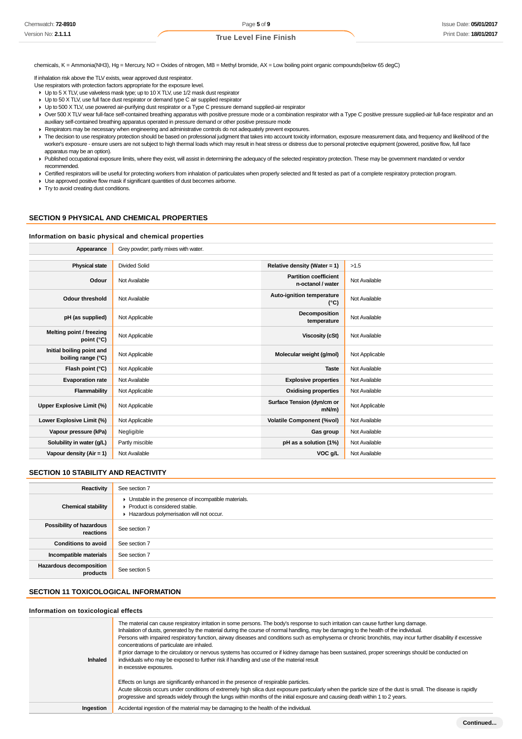chemicals, K = Ammonia(NH3), Hg = Mercury, NO = Oxides of nitrogen, MB = Methyl bromide, AX = Low boiling point organic compounds(below 65 degC)

If inhalation risk above the TLV exists, wear approved dust respirator.

- Use respirators with protection factors appropriate for the exposure level.
- ▶ Up to 5 X TLV, use valveless mask type; up to 10 X TLV, use 1/2 mask dust respirator
- Dp to 50 X TLV, use full face dust respirator or demand type C air supplied respirator
- Up to 500 X TLV, use powered air-purifying dust respirator or a Type C pressure demand supplied-air respirator
- ▶ Over 500 X TLV wear full-face self-contained breathing apparatus with positive pressure mode or a combination respirator with a Type C positive pressure supplied-air full-face respirator and an auxiliary self-contained breathing apparatus operated in pressure demand or other positive pressure mode
- **Respirators may be necessary when engineering and administrative controls do not adequately prevent exposures.**
- F The decision to use respiratory protection should be based on professional judgment that takes into account toxicity information, exposure measurement data, and frequency and likelihood of the worker's exposure - ensure users are not subject to high thermal loads which may result in heat stress or distress due to personal protective equipment (powered, positive flow, full face apparatus may be an option).
- Published occupational exposure limits, where they exist, will assist in determining the adequacy of the selected respiratory protection. These may be government mandated or vendor recommended.
- Exertified respirators will be useful for protecting workers from inhalation of particulates when properly selected and fit tested as part of a complete respiratory protection program.
- Use approved positive flow mask if significant quantities of dust becomes airborne.
- **F** Try to avoid creating dust conditions.

# **SECTION 9 PHYSICAL AND CHEMICAL PROPERTIES**

#### **Information on basic physical and chemical properties**

| Appearance                                      | Grey powder; partly mixes with water. |                                                   |                |
|-------------------------------------------------|---------------------------------------|---------------------------------------------------|----------------|
|                                                 |                                       |                                                   |                |
| <b>Physical state</b>                           | Divided Solid                         | Relative density (Water = 1)                      | >1.5           |
| Odour                                           | Not Available                         | <b>Partition coefficient</b><br>n-octanol / water | Not Available  |
| <b>Odour threshold</b>                          | Not Available                         | Auto-ignition temperature<br>$(^{\circ}C)$        | Not Available  |
| pH (as supplied)                                | Not Applicable                        | Decomposition<br>temperature                      | Not Available  |
| Melting point / freezing<br>point (°C)          | Not Applicable                        | <b>Viscosity (cSt)</b>                            | Not Available  |
| Initial boiling point and<br>boiling range (°C) | Not Applicable                        | Molecular weight (g/mol)                          | Not Applicable |
| Flash point (°C)                                | Not Applicable                        | <b>Taste</b>                                      | Not Available  |
| <b>Evaporation rate</b>                         | Not Available                         | <b>Explosive properties</b>                       | Not Available  |
| Flammability                                    | Not Applicable                        | <b>Oxidising properties</b>                       | Not Available  |
| Upper Explosive Limit (%)                       | Not Applicable                        | Surface Tension (dyn/cm or<br>$mN/m$ )            | Not Applicable |
| Lower Explosive Limit (%)                       | Not Applicable                        | <b>Volatile Component (%vol)</b>                  | Not Available  |
| Vapour pressure (kPa)                           | Negligible                            | Gas group                                         | Not Available  |
| Solubility in water (g/L)                       | Partly miscible                       | pH as a solution (1%)                             | Not Available  |
| Vapour density ( $Air = 1$ )                    | Not Available                         | VOC g/L                                           | Not Available  |

#### **SECTION 10 STABILITY AND REACTIVITY**

| Reactivity                            | See section 7                                                                                                                        |
|---------------------------------------|--------------------------------------------------------------------------------------------------------------------------------------|
| <b>Chemical stability</b>             | • Unstable in the presence of incompatible materials.<br>▶ Product is considered stable.<br>Hazardous polymerisation will not occur. |
| Possibility of hazardous<br>reactions | See section 7                                                                                                                        |
| <b>Conditions to avoid</b>            | See section 7                                                                                                                        |
| Incompatible materials                | See section 7                                                                                                                        |
| Hazardous decomposition<br>products   | See section 5                                                                                                                        |

# **SECTION 11 TOXICOLOGICAL INFORMATION**

#### **Information on toxicological effects**

| Inhaled   | The material can cause respiratory irritation in some persons. The body's response to such irritation can cause further lung damage.<br>Inhalation of dusts, generated by the material during the course of normal handling, may be damaging to the health of the individual.<br>Persons with impaired respiratory function, airway diseases and conditions such as emphysema or chronic bronchitis, may incur further disability if excessive<br>concentrations of particulate are inhaled.<br>If prior damage to the circulatory or nervous systems has occurred or if kidney damage has been sustained, proper screenings should be conducted on<br>individuals who may be exposed to further risk if handling and use of the material result<br>in excessive exposures. |
|-----------|-----------------------------------------------------------------------------------------------------------------------------------------------------------------------------------------------------------------------------------------------------------------------------------------------------------------------------------------------------------------------------------------------------------------------------------------------------------------------------------------------------------------------------------------------------------------------------------------------------------------------------------------------------------------------------------------------------------------------------------------------------------------------------|
|           | Effects on lungs are significantly enhanced in the presence of respirable particles.<br>Acute silicosis occurs under conditions of extremely high silica dust exposure particularly when the particle size of the dust is small. The disease is rapidly<br>progressive and spreads widely through the lungs within months of the initial exposure and causing death within 1 to 2 years.                                                                                                                                                                                                                                                                                                                                                                                    |
| Ingestion | Accidental ingestion of the material may be damaging to the health of the individual.                                                                                                                                                                                                                                                                                                                                                                                                                                                                                                                                                                                                                                                                                       |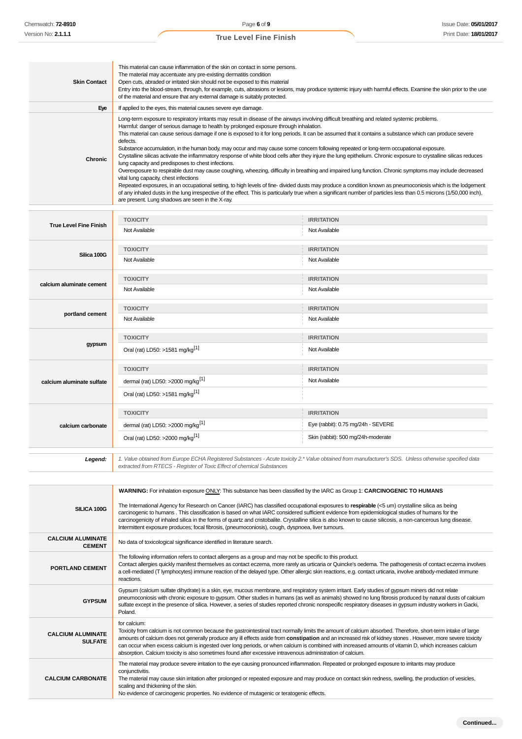| <b>Skin Contact</b>                       | This material can cause inflammation of the skin on contact in some persons.<br>The material may accentuate any pre-existing dermatitis condition<br>Open cuts, abraded or irritated skin should not be exposed to this material<br>Entry into the blood-stream, through, for example, cuts, abrasions or lesions, may produce systemic injury with harmful effects. Examine the skin prior to the use<br>of the material and ensure that any external damage is suitably protected.                                                                                                                                                                                                                                                                                                                                                                                                                                                                                                                                                                                                                                                                                                                                                                                                                                                                                                 |                                    |  |  |
|-------------------------------------------|--------------------------------------------------------------------------------------------------------------------------------------------------------------------------------------------------------------------------------------------------------------------------------------------------------------------------------------------------------------------------------------------------------------------------------------------------------------------------------------------------------------------------------------------------------------------------------------------------------------------------------------------------------------------------------------------------------------------------------------------------------------------------------------------------------------------------------------------------------------------------------------------------------------------------------------------------------------------------------------------------------------------------------------------------------------------------------------------------------------------------------------------------------------------------------------------------------------------------------------------------------------------------------------------------------------------------------------------------------------------------------------|------------------------------------|--|--|
| Eye                                       | If applied to the eyes, this material causes severe eye damage.                                                                                                                                                                                                                                                                                                                                                                                                                                                                                                                                                                                                                                                                                                                                                                                                                                                                                                                                                                                                                                                                                                                                                                                                                                                                                                                      |                                    |  |  |
| <b>Chronic</b>                            | Long-term exposure to respiratory irritants may result in disease of the airways involving difficult breathing and related systemic problems.<br>Harmful: danger of serious damage to health by prolonged exposure through inhalation.<br>This material can cause serious damage if one is exposed to it for long periods. It can be assumed that it contains a substance which can produce severe<br>defects.<br>Substance accumulation, in the human body, may occur and may cause some concern following repeated or long-term occupational exposure.<br>Crystalline silicas activate the inflammatory response of white blood cells after they injure the lung epithelium. Chronic exposure to crystalline silicas reduces<br>lung capacity and predisposes to chest infections.<br>Overexposure to respirable dust may cause coughing, wheezing, difficulty in breathing and impaired lung function. Chronic symptoms may include decreased<br>vital lung capacity, chest infections<br>Repeated exposures, in an occupational setting, to high levels of fine-divided dusts may produce a condition known as pneumoconiosis which is the lodgement<br>of any inhaled dusts in the lung irrespective of the effect. This is particularly true when a significant number of particles less than 0.5 microns (1/50,000 inch),<br>are present. Lung shadows are seen in the X-ray. |                                    |  |  |
|                                           | <b>TOXICITY</b>                                                                                                                                                                                                                                                                                                                                                                                                                                                                                                                                                                                                                                                                                                                                                                                                                                                                                                                                                                                                                                                                                                                                                                                                                                                                                                                                                                      | <b>IRRITATION</b>                  |  |  |
| <b>True Level Fine Finish</b>             | Not Available                                                                                                                                                                                                                                                                                                                                                                                                                                                                                                                                                                                                                                                                                                                                                                                                                                                                                                                                                                                                                                                                                                                                                                                                                                                                                                                                                                        | Not Available                      |  |  |
|                                           | <b>TOXICITY</b>                                                                                                                                                                                                                                                                                                                                                                                                                                                                                                                                                                                                                                                                                                                                                                                                                                                                                                                                                                                                                                                                                                                                                                                                                                                                                                                                                                      | <b>IRRITATION</b>                  |  |  |
| Silica 100G                               | Not Available                                                                                                                                                                                                                                                                                                                                                                                                                                                                                                                                                                                                                                                                                                                                                                                                                                                                                                                                                                                                                                                                                                                                                                                                                                                                                                                                                                        | Not Available                      |  |  |
|                                           | <b>TOXICITY</b>                                                                                                                                                                                                                                                                                                                                                                                                                                                                                                                                                                                                                                                                                                                                                                                                                                                                                                                                                                                                                                                                                                                                                                                                                                                                                                                                                                      | <b>IRRITATION</b>                  |  |  |
| calcium aluminate cement                  | Not Available                                                                                                                                                                                                                                                                                                                                                                                                                                                                                                                                                                                                                                                                                                                                                                                                                                                                                                                                                                                                                                                                                                                                                                                                                                                                                                                                                                        | Not Available                      |  |  |
|                                           | <b>TOXICITY</b>                                                                                                                                                                                                                                                                                                                                                                                                                                                                                                                                                                                                                                                                                                                                                                                                                                                                                                                                                                                                                                                                                                                                                                                                                                                                                                                                                                      | <b>IRRITATION</b>                  |  |  |
| portland cement                           | Not Available                                                                                                                                                                                                                                                                                                                                                                                                                                                                                                                                                                                                                                                                                                                                                                                                                                                                                                                                                                                                                                                                                                                                                                                                                                                                                                                                                                        | Not Available                      |  |  |
|                                           | <b>TOXICITY</b>                                                                                                                                                                                                                                                                                                                                                                                                                                                                                                                                                                                                                                                                                                                                                                                                                                                                                                                                                                                                                                                                                                                                                                                                                                                                                                                                                                      | <b>IRRITATION</b>                  |  |  |
| gypsum                                    | Oral (rat) LD50: >1581 mg/kg <sup>[1]</sup>                                                                                                                                                                                                                                                                                                                                                                                                                                                                                                                                                                                                                                                                                                                                                                                                                                                                                                                                                                                                                                                                                                                                                                                                                                                                                                                                          | Not Available                      |  |  |
|                                           | <b>TOXICITY</b>                                                                                                                                                                                                                                                                                                                                                                                                                                                                                                                                                                                                                                                                                                                                                                                                                                                                                                                                                                                                                                                                                                                                                                                                                                                                                                                                                                      | <b>IRRITATION</b>                  |  |  |
| calcium aluminate sulfate                 | dermal (rat) LD50: >2000 mg/kg <sup>[1]</sup>                                                                                                                                                                                                                                                                                                                                                                                                                                                                                                                                                                                                                                                                                                                                                                                                                                                                                                                                                                                                                                                                                                                                                                                                                                                                                                                                        | Not Available                      |  |  |
|                                           | Oral (rat) LD50: >1581 mg/kg <sup>[1]</sup>                                                                                                                                                                                                                                                                                                                                                                                                                                                                                                                                                                                                                                                                                                                                                                                                                                                                                                                                                                                                                                                                                                                                                                                                                                                                                                                                          |                                    |  |  |
|                                           | <b>TOXICITY</b>                                                                                                                                                                                                                                                                                                                                                                                                                                                                                                                                                                                                                                                                                                                                                                                                                                                                                                                                                                                                                                                                                                                                                                                                                                                                                                                                                                      | <b>IRRITATION</b>                  |  |  |
| calcium carbonate                         | dermal (rat) LD50: >2000 mg/kg <sup>[1]</sup>                                                                                                                                                                                                                                                                                                                                                                                                                                                                                                                                                                                                                                                                                                                                                                                                                                                                                                                                                                                                                                                                                                                                                                                                                                                                                                                                        | Eye (rabbit): 0.75 mg/24h - SEVERE |  |  |
|                                           | Oral (rat) LD50: >2000 mg/kg <sup>[1]</sup>                                                                                                                                                                                                                                                                                                                                                                                                                                                                                                                                                                                                                                                                                                                                                                                                                                                                                                                                                                                                                                                                                                                                                                                                                                                                                                                                          | Skin (rabbit): 500 mg/24h-moderate |  |  |
| Legend:                                   | 1. Value obtained from Europe ECHA Registered Substances - Acute toxicity 2.* Value obtained from manufacturer's SDS. Unless otherwise specified data<br>extracted from RTECS - Register of Toxic Effect of chemical Substances                                                                                                                                                                                                                                                                                                                                                                                                                                                                                                                                                                                                                                                                                                                                                                                                                                                                                                                                                                                                                                                                                                                                                      |                                    |  |  |
|                                           |                                                                                                                                                                                                                                                                                                                                                                                                                                                                                                                                                                                                                                                                                                                                                                                                                                                                                                                                                                                                                                                                                                                                                                                                                                                                                                                                                                                      |                                    |  |  |
| SILICA 100G                               | <b>WARNING:</b> For inhalation exposure ONLY: This substance has been classified by the IARC as Group 1: <b>CARCINOGENIC TO HUMANS</b><br>The International Agency for Research on Cancer (IARC) has classified occupational exposures to respirable (<5 um) crystalline silica as being<br>carcinogenic to humans. This classification is based on what IARC considered sufficient evidence from epidemiological studies of humans for the<br>carcinogenicity of inhaled silica in the forms of quartz and cristobalite. Crystalline silica is also known to cause silicosis, a non-cancerous lung disease.<br>Intermittent exposure produces; focal fibrosis, (pneumoconiosis), cough, dyspnoea, liver tumours.                                                                                                                                                                                                                                                                                                                                                                                                                                                                                                                                                                                                                                                                    |                                    |  |  |
| <b>CALCIUM ALUMINATE</b><br><b>CEMENT</b> | No data of toxicological significance identified in literature search.                                                                                                                                                                                                                                                                                                                                                                                                                                                                                                                                                                                                                                                                                                                                                                                                                                                                                                                                                                                                                                                                                                                                                                                                                                                                                                               |                                    |  |  |
|                                           | The following information refers to contact allergens as a group and may not be specific to this product.                                                                                                                                                                                                                                                                                                                                                                                                                                                                                                                                                                                                                                                                                                                                                                                                                                                                                                                                                                                                                                                                                                                                                                                                                                                                            |                                    |  |  |

**PORTLAND CEMENT** Contact allergies quickly manifest themselves as contact eczema, more rarely as urticaria or Quincke's oedema. The pathogenesis of contact eczema involves a cell-mediated (T lymphocytes) immune reaction of the delayed type. Other allergic skin reactions, e.g. contact urticaria, involve antibody-mediated immune reactions. **GYPSUM** Gypsum (calcium sulfate dihydrate) is a skin, eye, mucous membrane, and respiratory system irritant. Early studies of gypsum miners did not relate pneumoconiosis with chronic exposure to gypsum. Other studies in humans (as well as animals) showed no lung fibrosis produced by natural dusts of calcium sulfate except in the presence of silica. However, a series of studies reported chronic nonspecific respiratory diseases in gypsum industry workers in Gacki, Poland. **CALCIUM ALUMINATE SULFATE** for calcium: Toxicity from calcium is not common because the gastrointestinal tract normally limits the amount of calcium absorbed. Therefore, short-term intake of large amounts of calcium does not generally produce any ill effects aside from **constipation** and an increased risk of kidney stones . However, more severe toxicity can occur when excess calcium is ingested over long periods, or when calcium is combined with increased amounts of vitamin D, which increases calcium absorption. Calcium toxicity is also sometimes found after excessive intravenous administration of calcium. **CALCIUM CARBONATE** The material may produce severe irritation to the eye causing pronounced inflammation. Repeated or prolonged exposure to irritants may produce conjunctivitis. The material may cause skin irritation after prolonged or repeated exposure and may produce on contact skin redness, swelling, the production of vesicles, scaling and thickening of the skin. No evidence of carcinogenic properties. No evidence of mutagenic or teratogenic effects.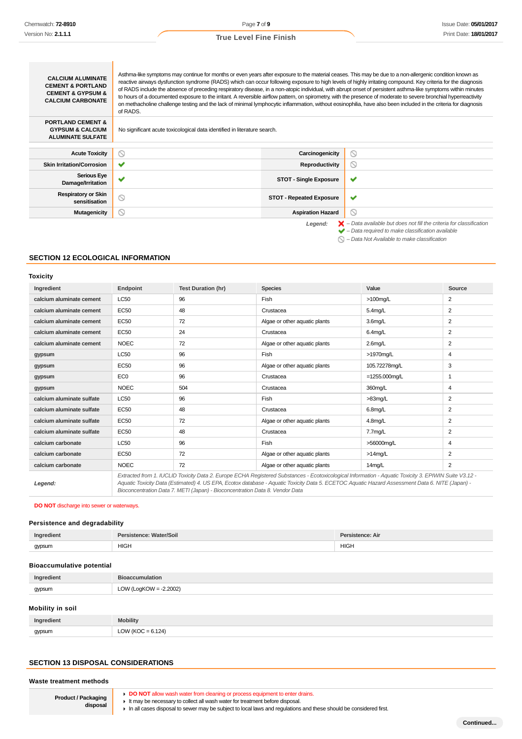|  |  |  | <b>True Level Fine Finish</b> |
|--|--|--|-------------------------------|
|--|--|--|-------------------------------|

| <b>CALCIUM ALUMINATE</b><br><b>CEMENT &amp; PORTLAND</b><br><b>CEMENT &amp; GYPSUM &amp;</b><br><b>CALCIUM CARBONATE</b> | Asthma-like symptoms may continue for months or even years after exposure to the material ceases. This may be due to a non-allergenic condition known as<br>reactive airways dysfunction syndrome (RADS) which can occur following exposure to high levels of highly irritating compound. Key criteria for the diagnosis<br>of RADS include the absence of preceding respiratory disease, in a non-atopic individual, with abrupt onset of persistent asthma-like symptoms within minutes<br>to hours of a documented exposure to the irritant. A reversible airflow pattern, on spirometry, with the presence of moderate to severe bronchial hyperreactivity<br>on methacholine challenge testing and the lack of minimal lymphocytic inflammation, without eosinophilia, have also been included in the criteria for diagnosis<br>of RADS. |                                 |                                                                                                                                                                    |
|--------------------------------------------------------------------------------------------------------------------------|-----------------------------------------------------------------------------------------------------------------------------------------------------------------------------------------------------------------------------------------------------------------------------------------------------------------------------------------------------------------------------------------------------------------------------------------------------------------------------------------------------------------------------------------------------------------------------------------------------------------------------------------------------------------------------------------------------------------------------------------------------------------------------------------------------------------------------------------------|---------------------------------|--------------------------------------------------------------------------------------------------------------------------------------------------------------------|
| <b>PORTLAND CEMENT &amp;</b><br><b>GYPSUM &amp; CALCIUM</b><br><b>ALUMINATE SULFATE</b>                                  | No significant acute toxicological data identified in literature search.                                                                                                                                                                                                                                                                                                                                                                                                                                                                                                                                                                                                                                                                                                                                                                      |                                 |                                                                                                                                                                    |
| <b>Acute Toxicity</b>                                                                                                    | ⊚                                                                                                                                                                                                                                                                                                                                                                                                                                                                                                                                                                                                                                                                                                                                                                                                                                             | Carcinogenicity                 | ⊚                                                                                                                                                                  |
| <b>Skin Irritation/Corrosion</b>                                                                                         | ✔                                                                                                                                                                                                                                                                                                                                                                                                                                                                                                                                                                                                                                                                                                                                                                                                                                             | Reproductivity                  | ⊙                                                                                                                                                                  |
| <b>Serious Eye</b><br>Damage/Irritation                                                                                  |                                                                                                                                                                                                                                                                                                                                                                                                                                                                                                                                                                                                                                                                                                                                                                                                                                               | <b>STOT - Single Exposure</b>   | ✔                                                                                                                                                                  |
| <b>Respiratory or Skin</b><br>sensitisation                                                                              | ⊚                                                                                                                                                                                                                                                                                                                                                                                                                                                                                                                                                                                                                                                                                                                                                                                                                                             | <b>STOT - Repeated Exposure</b> | ✔                                                                                                                                                                  |
| <b>Mutagenicity</b>                                                                                                      | ⊚                                                                                                                                                                                                                                                                                                                                                                                                                                                                                                                                                                                                                                                                                                                                                                                                                                             | <b>Aspiration Hazard</b>        | ⊚                                                                                                                                                                  |
|                                                                                                                          |                                                                                                                                                                                                                                                                                                                                                                                                                                                                                                                                                                                                                                                                                                                                                                                                                                               | Legend:                         | $\blacktriangleright$ - Data available but does not fill the criteria for classification<br>$\blacktriangleright$ - Data required to make classification available |

# **SECTION 12 ECOLOGICAL INFORMATION**

# **Toxicity**

| Ingredient                | Endpoint        | <b>Test Duration (hr)</b> | <b>Species</b>                                                                                                                                        | Value            | Source         |
|---------------------------|-----------------|---------------------------|-------------------------------------------------------------------------------------------------------------------------------------------------------|------------------|----------------|
| calcium aluminate cement  | <b>LC50</b>     | 96                        | Fish                                                                                                                                                  | $>100$ mg/L      | $\overline{2}$ |
| calcium aluminate cement  | <b>EC50</b>     | 48                        | Crustacea                                                                                                                                             | $5.4$ mg/L       | $\overline{2}$ |
| calcium aluminate cement  | <b>EC50</b>     | 72                        | Algae or other aquatic plants                                                                                                                         | 3.6mg/L          | $\overline{2}$ |
| calcium aluminate cement  | <b>EC50</b>     | 24                        | Crustacea                                                                                                                                             | $6.4$ mg/L       | $\overline{2}$ |
| calcium aluminate cement  | <b>NOEC</b>     | 72                        | Algae or other aquatic plants                                                                                                                         | $2.6$ mg/L       | $\overline{2}$ |
| gypsum                    | <b>LC50</b>     | 96                        | Fish                                                                                                                                                  | >1970mg/L        | 4              |
| gypsum                    | <b>EC50</b>     | 96                        | Algae or other aquatic plants                                                                                                                         | 105.72278mg/L    | 3              |
| gypsum                    | EC <sub>0</sub> | 96                        | Crustacea                                                                                                                                             | $=1255.000$ mg/L | 1              |
| gypsum                    | <b>NOEC</b>     | 504                       | Crustacea                                                                                                                                             | 360mg/L          | 4              |
| calcium aluminate sulfate | <b>LC50</b>     | 96                        | Fish                                                                                                                                                  | $>83$ mg/L       | $\overline{2}$ |
| calcium aluminate sulfate | <b>EC50</b>     | 48                        | Crustacea                                                                                                                                             | 6.8mg/L          | $\overline{2}$ |
| calcium aluminate sulfate | <b>EC50</b>     | 72                        | Algae or other aquatic plants                                                                                                                         | $4.8$ mg/L       | $\overline{2}$ |
| calcium aluminate sulfate | <b>EC50</b>     | 48                        | Crustacea                                                                                                                                             | 7.7mg/L          | $\overline{2}$ |
| calcium carbonate         | LC50            | 96                        | Fish                                                                                                                                                  | >56000mg/L       | 4              |
| calcium carbonate         | <b>EC50</b>     | 72                        | Algae or other aquatic plants                                                                                                                         | $>14$ mg/L       | $\overline{2}$ |
| calcium carbonate         | <b>NOEC</b>     | 72                        | Algae or other aquatic plants                                                                                                                         | 14mg/L           | $\overline{2}$ |
|                           |                 |                           | Extracted from 1. IUCLID Toxicity Data 2. Europe ECHA Registered Substances - Ecotoxicological Information - Aquatic Toxicity 3. EPIWIN Suite V3.12 - |                  |                |

**Legend:**

Aquatic Toxicity Data (Estimated) 4. US EPA, Ecotox database - Aquatic Toxicity Data 5. ECETOC Aquatic Hazard Assessment Data 6. NITE (Japan) - Bioconcentration Data 7. METI (Japan) - Bioconcentration Data 8. Vendor Data

#### **DO NOT** discharge into sewer or waterways.

# **Persistence and degradability**

| Ingredient | Persistence: Water/Soil | Persistence: Air |
|------------|-------------------------|------------------|
| gypsum     | <b>HIGH</b>             | <b>HIGH</b>      |

#### **Bioaccumulative potential**

| Ingredient | <b>Bioaccumulation</b>    |  |
|------------|---------------------------|--|
| gypsum     | LOW (LogKOW = $-2.2002$ ) |  |
|            |                           |  |

# **Mobility in soil**

| Ingredient | <b>lobility</b>                                  |
|------------|--------------------------------------------------|
| gypsum     | 124)<br>LOW <sup>1</sup><br>$\sqrt{2}$<br>$\sim$ |

#### **SECTION 13 DISPOSAL CONSIDERATIONS**

#### **Waste treatment methods**

**Product / Packaging disposal**

- **DO NOT** allow wash water from cleaning or process equipment to enter drains.
- It may be necessary to collect all wash water for treatment before disposal.

In all cases disposal to sewer may be subject to local laws and regulations and these should be considered first.

 $\bigcirc$  – Data Not Available to make classification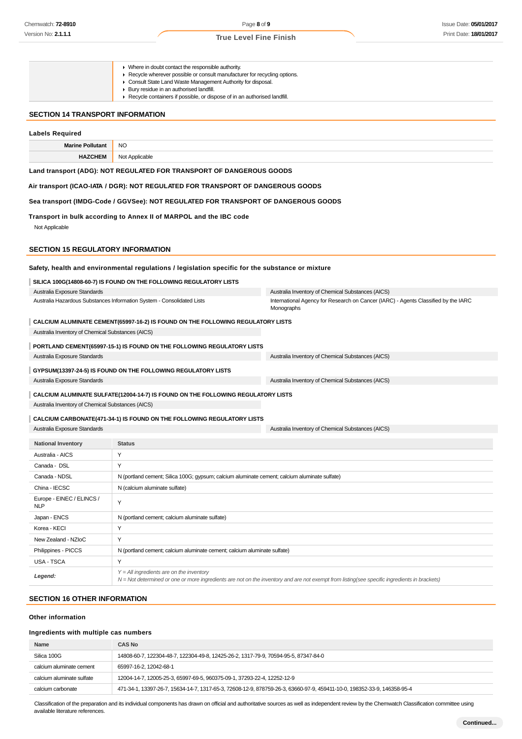Where in doubt contact the responsible authority. Recycle wherever possible or consult manufacturer for recycling options. Consult State Land Waste Management Authority for disposal. Bury residue in an authorised landfill.  $\bullet$ ▶ Recycle containers if possible, or dispose of in an authorised landfill. **SECTION 14 TRANSPORT INFORMATION Labels Required Marine Pollutant** NO **HAZCHEM** Not Applicable **Land transport (ADG): NOT REGULATED FOR TRANSPORT OF DANGEROUS GOODS Air transport (ICAO-IATA / DGR): NOT REGULATED FOR TRANSPORT OF DANGEROUS GOODS Sea transport (IMDG-Code / GGVSee): NOT REGULATED FOR TRANSPORT OF DANGEROUS GOODS Transport in bulk according to Annex II of MARPOL and the IBC code** Not Applicable **SECTION 15 REGULATORY INFORMATION Safety, health and environmental regulations / legislation specific for the substance or mixture SILICA 100G(14808-60-7) IS FOUND ON THE FOLLOWING REGULATORY LISTS** Australia Exposure Standards Australia Inventory of Chemical Substances (AICS) Australia Hazardous Substances Information System - Consolidated Lists International Agency for Research on Cancer (IARC) - Agents Classified by the IARC Monographs **CALCIUM ALUMINATE CEMENT(65997-16-2) IS FOUND ON THE FOLLOWING REGULATORY LISTS** Australia Inventory of Chemical Substances (AICS) **PORTLAND CEMENT(65997-15-1) IS FOUND ON THE FOLLOWING REGULATORY LISTS** Australia Exposure Standards **Australia Inventory of Chemical Substances (AICS)** Australia Inventory of Chemical Substances (AICS) **GYPSUM(13397-24-5) IS FOUND ON THE FOLLOWING REGULATORY LISTS** Australia Exposure Standards Australia Inventory of Chemical Substances (AICS) **CALCIUM ALUMINATE SULFATE(12004-14-7) IS FOUND ON THE FOLLOWING REGULATORY LISTS** Australia Inventory of Chemical Substances (AICS) **CALCIUM CARBONATE(471-34-1) IS FOUND ON THE FOLLOWING REGULATORY LISTS** Australia Exposure Standards Australia Inventory of Chemical Substances (AICS) **National Inventory Status** Australia - AICS Y Canada - DSL Y Canada - NDSL N (portland cement; Silica 100G; gypsum; calcium aluminate cement; calcium aluminate sulfate) China - IECSC N (calcium aluminate sulfate) Europe - EINEC / ELINCS / Y<br>NLP Japan - ENCS N (portland cement; calcium aluminate sulfate) Korea - KECI Y New Zealand - NZIoC Y Philippines - PICCS N (portland cement; calcium aluminate cement; calcium aluminate sulfate) USA - TSCA Y Y = All ingredients are on the inventory **Legend:** N = Not determined or one or more ingredients are not on the inventory and are not exempt from listing(see specific ingredients in brackets) **SECTION 16 OTHER INFORMATION Other information**

#### **Ingredients with multiple cas numbers**

| Name                      | <b>CAS No</b>                                                                                                           |
|---------------------------|-------------------------------------------------------------------------------------------------------------------------|
| Silica 100G               | 14808-60-7, 122304-48-7, 122304-49-8, 12425-26-2, 1317-79-9, 70594-95-5, 87347-84-0                                     |
| calcium aluminate cement  | 65997-16-2, 12042-68-1                                                                                                  |
| calcium aluminate sulfate | 12004-14-7, 12005-25-3, 65997-69-5, 960375-09-1, 37293-22-4, 12252-12-9                                                 |
| calcium carbonate         | 471-34-1, 13397-26-7, 15634-14-7, 1317-65-3, 72608-12-9, 878759-26-3, 63660-97-9, 459411-10-0, 198352-33-9, 146358-95-4 |

Classification of the preparation and its individual components has drawn on official and authoritative sources as well as independent review by the Chemwatch Classification committee using available literature references.